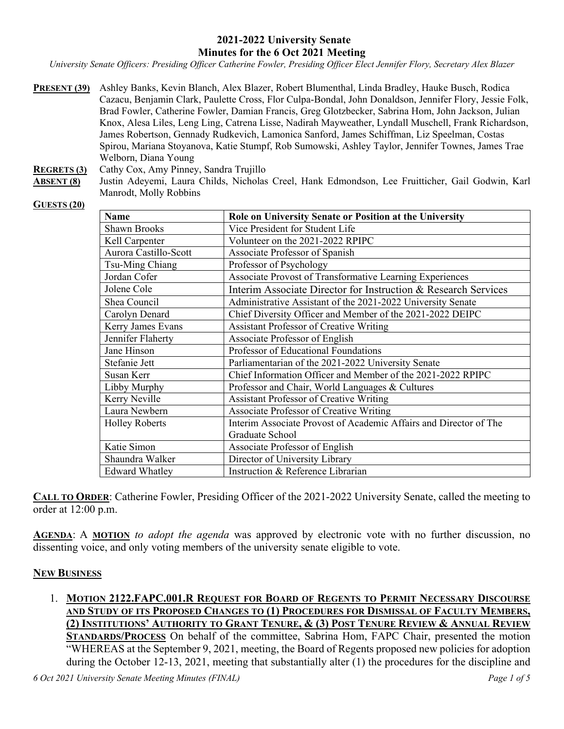### **2021-2022 University Senate Minutes for the 6 Oct 2021 Meeting**

*University Senate Officers: Presiding Officer Catherine Fowler, Presiding Officer Elect Jennifer Flory, Secretary Alex Blazer*

**PRESENT (39)** Ashley Banks, Kevin Blanch, Alex Blazer, Robert Blumenthal, Linda Bradley, Hauke Busch, Rodica Cazacu, Benjamin Clark, Paulette Cross, Flor Culpa-Bondal, John Donaldson, Jennifer Flory, Jessie Folk, Brad Fowler, Catherine Fowler, Damian Francis, Greg Glotzbecker, Sabrina Hom, John Jackson, Julian Knox, Alesa Liles, Leng Ling, Catrena Lisse, Nadirah Mayweather, Lyndall Muschell, Frank Richardson, James Robertson, Gennady Rudkevich, Lamonica Sanford, James Schiffman, Liz Speelman, Costas Spirou, Mariana Stoyanova, Katie Stumpf, Rob Sumowski, Ashley Taylor, Jennifer Townes, James Trae Welborn, Diana Young

**REGRETS (3)** Cathy Cox, Amy Pinney, Sandra Trujillo

**ABSENT (8)** Justin Adeyemi, Laura Childs, Nicholas Creel, Hank Edmondson, Lee Fruitticher, Gail Godwin, Karl Manrodt, Molly Robbins

#### **GUESTS (20)**

| <b>Name</b>           | Role on University Senate or Position at the University           |
|-----------------------|-------------------------------------------------------------------|
| <b>Shawn Brooks</b>   | Vice President for Student Life                                   |
| Kell Carpenter        | Volunteer on the 2021-2022 RPIPC                                  |
| Aurora Castillo-Scott | Associate Professor of Spanish                                    |
| Tsu-Ming Chiang       | Professor of Psychology                                           |
| Jordan Cofer          | Associate Provost of Transformative Learning Experiences          |
| Jolene Cole           | Interim Associate Director for Instruction & Research Services    |
| Shea Council          | Administrative Assistant of the 2021-2022 University Senate       |
| Carolyn Denard        | Chief Diversity Officer and Member of the 2021-2022 DEIPC         |
| Kerry James Evans     | <b>Assistant Professor of Creative Writing</b>                    |
| Jennifer Flaherty     | Associate Professor of English                                    |
| Jane Hinson           | Professor of Educational Foundations                              |
| Stefanie Jett         | Parliamentarian of the 2021-2022 University Senate                |
| Susan Kerr            | Chief Information Officer and Member of the 2021-2022 RPIPC       |
| Libby Murphy          | Professor and Chair, World Languages & Cultures                   |
| Kerry Neville         | <b>Assistant Professor of Creative Writing</b>                    |
| Laura Newbern         | Associate Professor of Creative Writing                           |
| <b>Holley Roberts</b> | Interim Associate Provost of Academic Affairs and Director of The |
|                       | Graduate School                                                   |
| Katie Simon           | Associate Professor of English                                    |
| Shaundra Walker       | Director of University Library                                    |
| <b>Edward Whatley</b> | Instruction & Reference Librarian                                 |

**CALL TO ORDER**: Catherine Fowler, Presiding Officer of the 2021-2022 University Senate, called the meeting to order at 12:00 p.m.

**AGENDA**: A **MOTION** *to adopt the agenda* was approved by electronic vote with no further discussion, no dissenting voice, and only voting members of the university senate eligible to vote.

### **NEW BUSINESS**

1. **MOTION 2122.FAPC.001.R REQUEST FOR BOARD OF REGENTS TO PERMIT NECESSARY DISCOURSE AND STUDY OF ITS PROPOSED CHANGES TO (1) PROCEDURES FOR DISMISSAL OF FACULTY MEMBERS, (2) INSTITUTIONS' AUTHORITY TO GRANT TENURE, & (3) POST TENURE REVIEW & ANNUAL REVIEW STANDARDS/PROCESS** On behalf of the committee, Sabrina Hom, FAPC Chair, presented the motion "WHEREAS at the September 9, 2021, meeting, the Board of Regents proposed new policies for adoption during the October 12-13, 2021, meeting that substantially alter (1) the procedures for the discipline and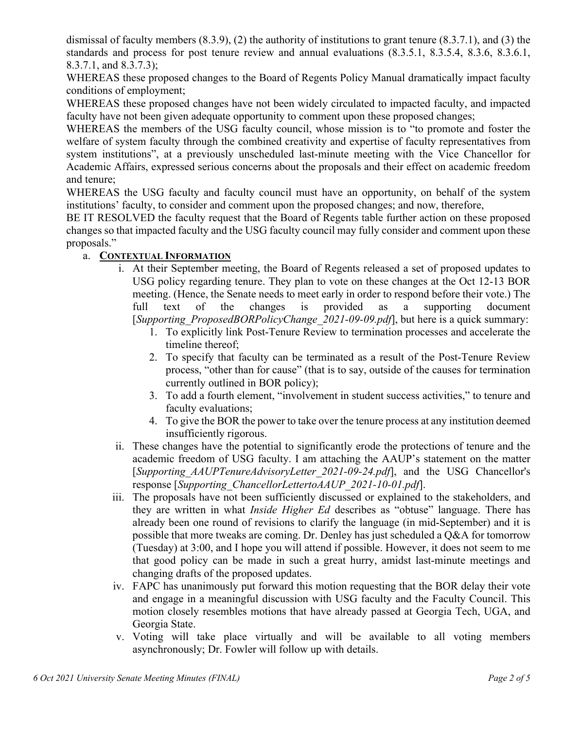dismissal of faculty members (8.3.9), (2) the authority of institutions to grant tenure (8.3.7.1), and (3) the standards and process for post tenure review and annual evaluations (8.3.5.1, 8.3.5.4, 8.3.6, 8.3.6.1, 8.3.7.1, and 8.3.7.3);

WHEREAS these proposed changes to the Board of Regents Policy Manual dramatically impact faculty conditions of employment;

WHEREAS these proposed changes have not been widely circulated to impacted faculty, and impacted faculty have not been given adequate opportunity to comment upon these proposed changes;

WHEREAS the members of the USG faculty council, whose mission is to "to promote and foster the welfare of system faculty through the combined creativity and expertise of faculty representatives from system institutions", at a previously unscheduled last-minute meeting with the Vice Chancellor for Academic Affairs, expressed serious concerns about the proposals and their effect on academic freedom and tenure;

WHEREAS the USG faculty and faculty council must have an opportunity, on behalf of the system institutions' faculty, to consider and comment upon the proposed changes; and now, therefore,

BE IT RESOLVED the faculty request that the Board of Regents table further action on these proposed changes so that impacted faculty and the USG faculty council may fully consider and comment upon these proposals."

# a. **CONTEXTUAL INFORMATION**

- i. At their September meeting, the Board of Regents released a set of proposed updates to USG policy regarding tenure. They plan to vote on these changes at the Oct 12-13 BOR meeting. (Hence, the Senate needs to meet early in order to respond before their vote.) The full text of the changes is provided as a supporting document [*Supporting\_ProposedBORPolicyChange\_2021-09-09.pdf*], but here is a quick summary:
	- 1. To explicitly link Post-Tenure Review to termination processes and accelerate the timeline thereof;
	- 2. To specify that faculty can be terminated as a result of the Post-Tenure Review process, "other than for cause" (that is to say, outside of the causes for termination currently outlined in BOR policy);
	- 3. To add a fourth element, "involvement in student success activities," to tenure and faculty evaluations;
	- 4. To give the BOR the power to take over the tenure process at any institution deemed insufficiently rigorous.
- ii. These changes have the potential to significantly erode the protections of tenure and the academic freedom of USG faculty. I am attaching the AAUP's statement on the matter [*Supporting\_AAUPTenureAdvisoryLetter\_2021-09-24.pdf*], and the USG Chancellor's response [*Supporting\_ChancellorLettertoAAUP\_2021-10-01.pdf*].
- iii. The proposals have not been sufficiently discussed or explained to the stakeholders, and they are written in what *Inside Higher Ed* describes as "obtuse" language. There has already been one round of revisions to clarify the language (in mid-September) and it is possible that more tweaks are coming. Dr. Denley has just scheduled a Q&A for tomorrow (Tuesday) at 3:00, and I hope you will attend if possible. However, it does not seem to me that good policy can be made in such a great hurry, amidst last-minute meetings and changing drafts of the proposed updates.
- iv. FAPC has unanimously put forward this motion requesting that the BOR delay their vote and engage in a meaningful discussion with USG faculty and the Faculty Council. This motion closely resembles motions that have already passed at Georgia Tech, UGA, and Georgia State.
- v. Voting will take place virtually and will be available to all voting members asynchronously; Dr. Fowler will follow up with details.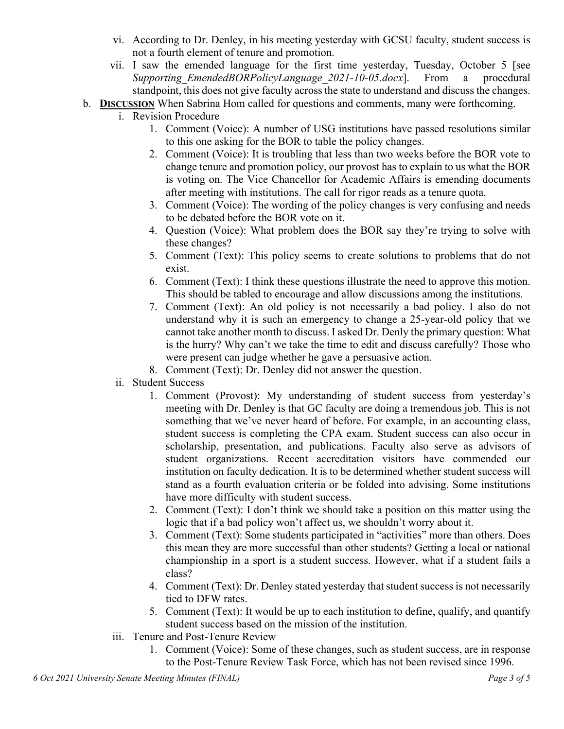- vi. According to Dr. Denley, in his meeting yesterday with GCSU faculty, student success is not a fourth element of tenure and promotion.
- vii. I saw the emended language for the first time yesterday, Tuesday, October 5 [see *Supporting\_EmendedBORPolicyLanguage\_2021-10-05.docx*]. From a procedural standpoint, this does not give faculty across the state to understand and discuss the changes.
- b. **DISCUSSION** When Sabrina Hom called for questions and comments, many were forthcoming.
	- i. Revision Procedure
		- 1. Comment (Voice): A number of USG institutions have passed resolutions similar to this one asking for the BOR to table the policy changes.
		- 2. Comment (Voice): It is troubling that less than two weeks before the BOR vote to change tenure and promotion policy, our provost has to explain to us what the BOR is voting on. The Vice Chancellor for Academic Affairs is emending documents after meeting with institutions. The call for rigor reads as a tenure quota.
		- 3. Comment (Voice): The wording of the policy changes is very confusing and needs to be debated before the BOR vote on it.
		- 4. Question (Voice): What problem does the BOR say they're trying to solve with these changes?
		- 5. Comment (Text): This policy seems to create solutions to problems that do not exist.
		- 6. Comment (Text): I think these questions illustrate the need to approve this motion. This should be tabled to encourage and allow discussions among the institutions.
		- 7. Comment (Text): An old policy is not necessarily a bad policy. I also do not understand why it is such an emergency to change a 25-year-old policy that we cannot take another month to discuss. I asked Dr. Denly the primary question: What is the hurry? Why can't we take the time to edit and discuss carefully? Those who were present can judge whether he gave a persuasive action.
		- 8. Comment (Text): Dr. Denley did not answer the question.
	- ii. Student Success
		- 1. Comment (Provost): My understanding of student success from yesterday's meeting with Dr. Denley is that GC faculty are doing a tremendous job. This is not something that we've never heard of before. For example, in an accounting class, student success is completing the CPA exam. Student success can also occur in scholarship, presentation, and publications. Faculty also serve as advisors of student organizations. Recent accreditation visitors have commended our institution on faculty dedication. It is to be determined whether student success will stand as a fourth evaluation criteria or be folded into advising. Some institutions have more difficulty with student success.
		- 2. Comment (Text): I don't think we should take a position on this matter using the logic that if a bad policy won't affect us, we shouldn't worry about it.
		- 3. Comment (Text): Some students participated in "activities" more than others. Does this mean they are more successful than other students? Getting a local or national championship in a sport is a student success. However, what if a student fails a class?
		- 4. Comment (Text): Dr. Denley stated yesterday that student success is not necessarily tied to DFW rates.
		- 5. Comment (Text): It would be up to each institution to define, qualify, and quantify student success based on the mission of the institution.
	- iii. Tenure and Post-Tenure Review
		- 1. Comment (Voice): Some of these changes, such as student success, are in response to the Post-Tenure Review Task Force, which has not been revised since 1996.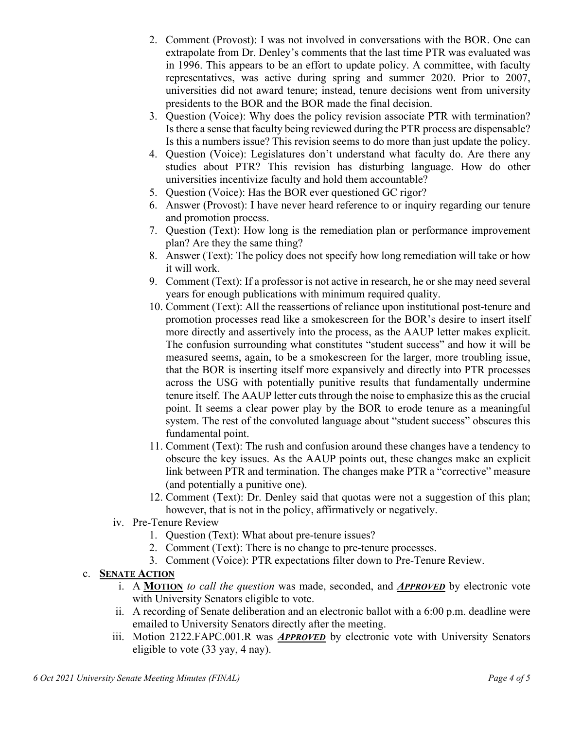- 2. Comment (Provost): I was not involved in conversations with the BOR. One can extrapolate from Dr. Denley's comments that the last time PTR was evaluated was in 1996. This appears to be an effort to update policy. A committee, with faculty representatives, was active during spring and summer 2020. Prior to 2007, universities did not award tenure; instead, tenure decisions went from university presidents to the BOR and the BOR made the final decision.
- 3. Question (Voice): Why does the policy revision associate PTR with termination? Is there a sense that faculty being reviewed during the PTR process are dispensable? Is this a numbers issue? This revision seems to do more than just update the policy.
- 4. Question (Voice): Legislatures don't understand what faculty do. Are there any studies about PTR? This revision has disturbing language. How do other universities incentivize faculty and hold them accountable?
- 5. Question (Voice): Has the BOR ever questioned GC rigor?
- 6. Answer (Provost): I have never heard reference to or inquiry regarding our tenure and promotion process.
- 7. Question (Text): How long is the remediation plan or performance improvement plan? Are they the same thing?
- 8. Answer (Text): The policy does not specify how long remediation will take or how it will work.
- 9. Comment (Text): If a professor is not active in research, he or she may need several years for enough publications with minimum required quality.
- 10. Comment (Text): All the reassertions of reliance upon institutional post-tenure and promotion processes read like a smokescreen for the BOR's desire to insert itself more directly and assertively into the process, as the AAUP letter makes explicit. The confusion surrounding what constitutes "student success" and how it will be measured seems, again, to be a smokescreen for the larger, more troubling issue, that the BOR is inserting itself more expansively and directly into PTR processes across the USG with potentially punitive results that fundamentally undermine tenure itself. The AAUP letter cuts through the noise to emphasize this as the crucial point. It seems a clear power play by the BOR to erode tenure as a meaningful system. The rest of the convoluted language about "student success" obscures this fundamental point.
- 11. Comment (Text): The rush and confusion around these changes have a tendency to obscure the key issues. As the AAUP points out, these changes make an explicit link between PTR and termination. The changes make PTR a "corrective" measure (and potentially a punitive one).
- 12. Comment (Text): Dr. Denley said that quotas were not a suggestion of this plan; however, that is not in the policy, affirmatively or negatively.
- iv. Pre-Tenure Review
	- 1. Question (Text): What about pre-tenure issues?
	- 2. Comment (Text): There is no change to pre-tenure processes.
	- 3. Comment (Voice): PTR expectations filter down to Pre-Tenure Review.

# c. **SENATE ACTION**

- i. A **MOTION** *to call the question* was made, seconded, and *APPROVED* by electronic vote with University Senators eligible to vote.
- ii. A recording of Senate deliberation and an electronic ballot with a 6:00 p.m. deadline were emailed to University Senators directly after the meeting.
- iii. Motion 2122.FAPC.001.R was *APPROVED* by electronic vote with University Senators eligible to vote (33 yay, 4 nay).